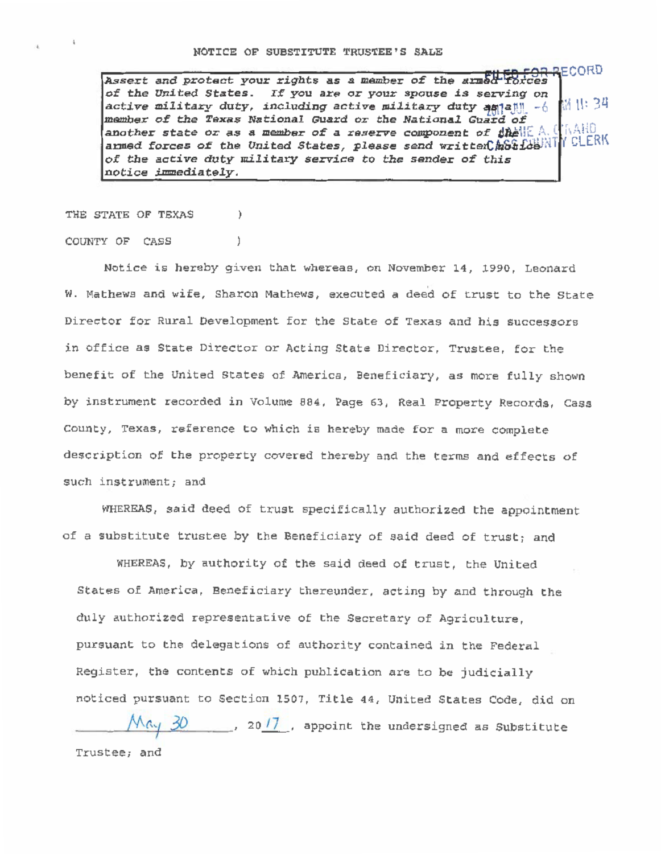Assert and protect your rights as a member of the armed forces of the United States. If you are or your spouse is serving on |儲 11: 34 active military duty, including active military duty  $\frac{1}{2}$  and  $\frac{1}{2}$   $\frac{1}{2}$ member of the Texas National Guard or the National Guard of another state or as a member of a reserve component of  $\sharp \hat{\mathbf{h}}$ elle A. Component anned forces of the United States, please send written hot found CLERK of the active duty military service to the sender of this notice immediately.

THE STATE OF TEXAS

 $\lambda$ 

Ì.

## COUNTY OF CASS

Notice is hereby given that whereas, on November 14, 1990, Leonard W. Mathews and wife, Sharon Mathews, executed a deed of trust to the State Director for Rural Development for the State of Texas and his successors in office as State Director or Acting State Director, Trustee, for the benefit of the United States of America, Beneficiary, as more fully shown by instrument recorded in Volume 884, Page 63, Real Property Records, Cass County, Texas, reference to which is hereby made for a more complete description of the property covered thereby and the terms and effects of such instrument; and

WHEREAS, said deed of trust specifically authorized the appointment of a substitute trustee by the Beneficiary of said deed of trust; and

WHEREAS, by authority of the said deed of trust, the United States of America, Beneficiary thereunder, acting by and through the duly authorized representative of the Secretary of Agriculture. pursuant to the delegations of authority contained in the Federal Register, the contents of which publication are to be judicially noticed pursuant to Section 1507, Title 44, United States Code, did on  $\mathcal{M}$  ( $\mathcal{N}$   $\mathcal{N}$   $\mathcal{N}$   $\mathcal{N}$   $\mathcal{N}$   $\mathcal{N}$   $\mathcal{N}$  appoint the undersigned as Substitute

Trustee; and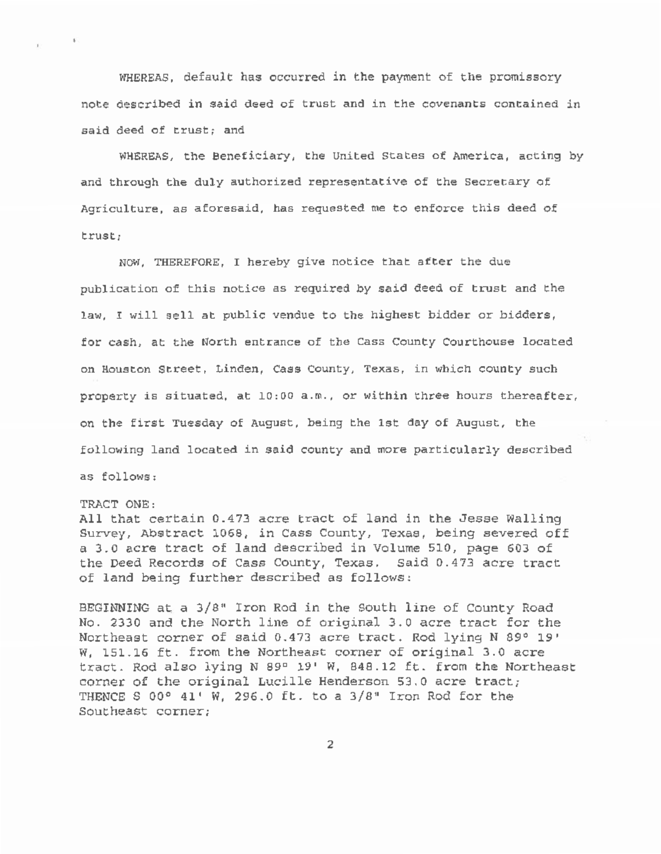WHEREAS, default has occurred in the payment of the promissory note described in said deed of trust and in the covenants contained in said deed of trust; and

WHEREAS, the Beneficiary, the United States of America, acting by and through the duly authorized representative of the Secretary of Agriculture, as aforesaid, has requested me to enforce this deed of trust;

NOW, THEREFORE, I hereby give notice that after the due publication of this notice as required by said deed of trust and the law, I will sell at public vendue to the highest bidder or bidders, for cash, at the North entrance of the Cass County Courthouse located on Houston Street, Linden, Cass County, Texas, in which county such property is situated, at  $10:00$  a.m., or within three hours thereafter, on the first Tuesday of August, being the 1st day of August, the following land located in said county and more particularly described as follows:

## TRACT ONE:

 $\mathbf{E}$ 

All that certain 0.473 acre tract of land in the Jesse Walling Survey, Abstract 1069, in Cass County, Texas, being severed off a 3.0 acre tract of land described in Volume 510, page 603 of the Deed Records of Cass County, Texas. Said 0.473 acre tract of land being further described as follows:

BEGINNING at a 3/8" Iron Rod in the South line of County Road No. 2330 and the North line of original 3.0 acre tract for the Northeast corner of said 0.473 acre tract. Rod lying N 89° 19'  $W<sub>i</sub>$  151.16 ft. from the Northeast corner of original 3.0 acre tract. Rod also lying N 89° 19 ' W, 848.12 ft. from the Northeast corner of the original Lucille Henderson 53.0 acre tract; THENCE S 00° 41' W, 296.0 ft. to a 3/8" Iron Rod for the Southeast corner;

2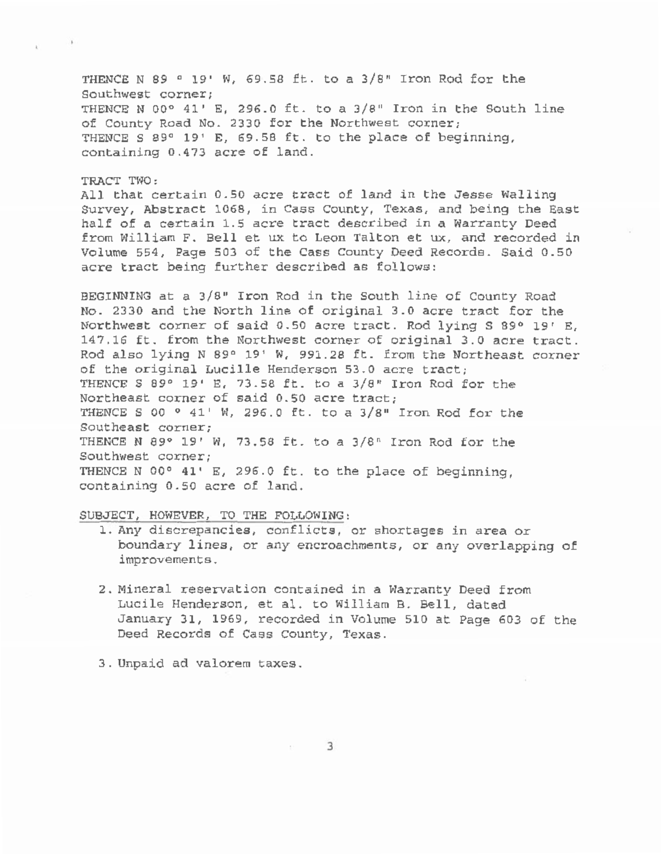THENCE N 89 ° 19' w, 69.58 ft. to a 3/8" Iron Rod for the Southwest corner; THENCE N 00° 41' E, 296.0 ft. to a  $3/8$ " Iron in the South line of County Road No. 2330 for the Northwest corner; THENCE S 89° 19' E, 69.58 ft. to the place of beginning, containing 0.473 acre of land.

## TRACT TWO:

All that certain 0.50 acre tract of land in the Jesse Walling Survey, Abstract 1068, in Cass County, Texas, and being the East half of a certain 1.5 acre tract described in a Warranty Deed from William F. Bell et ux to Leon Talton et ux, and recorded in Volume 554, Page 503 of the Cass County Deed Records. Said 0.50 acre tract being further described as follows:

BEGINNING at a 3/8" Iron Rod in the South line of County Road No. 2330 and the North line of original 3.0 acre tract for the Northwest corner of said 0.50 acre tract. Rod lying S 89° 19' E, 147.16 ft. from the Northwest corner of original 3.0 acre tract. Rod also lying N 89° 19' W, 991.28 ft. from the Northeast corner of the original Lucille Henderson 53.0 acre tract; THENCE S 89° 19' E, 73.58 ft. to a  $3/8$ " Iron Rod for the Northeast corner of said 0.50 acre tract; THENCE S 00  $\degree$  41' W, 296.0 ft. to a 3/8" Iron Rod for the Southeast corner; THENCE N 89° 19' w, 73.58 ft. to a 3/8" Iron Rod for the Southwest corner; THENCE N 00° 41' E, 296.0 ft. to the place of beginning, containing 0.50 acre of land.

## SUBJECT, HOWEVER, TO THE FOLLOWING:

- 1. Any discrepancies, conflicts, or shortages in area or boundary lines, or any encroachments, or any overlapping of improvements.
- 2. Mineral reservation contained in a Warranty Deed from Lucile Henderson, et al. to William B. Bell, dated January 31, 1969, recorded in Volume 510 at Page 603 of the Deed Records of Cass County, Texas.
- 3. Unpaid ad valorem taxes.

3